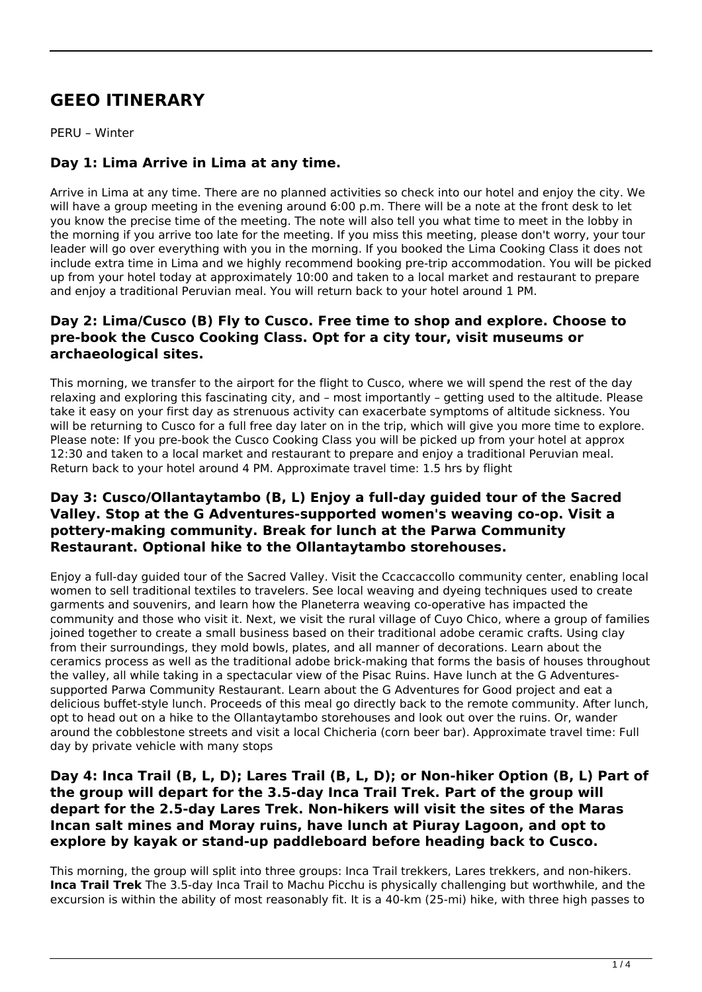# **GEEO ITINERARY**

PERU – Winter

## **Day 1: Lima Arrive in Lima at any time.**

Arrive in Lima at any time. There are no planned activities so check into our hotel and enjoy the city. We will have a group meeting in the evening around 6:00 p.m. There will be a note at the front desk to let you know the precise time of the meeting. The note will also tell you what time to meet in the lobby in the morning if you arrive too late for the meeting. If you miss this meeting, please don't worry, your tour leader will go over everything with you in the morning. If you booked the Lima Cooking Class it does not include extra time in Lima and we highly recommend booking pre-trip accommodation. You will be picked up from your hotel today at approximately 10:00 and taken to a local market and restaurant to prepare and enjoy a traditional Peruvian meal. You will return back to your hotel around 1 PM.

### **Day 2: Lima/Cusco (B) Fly to Cusco. Free time to shop and explore. Choose to pre-book the Cusco Cooking Class. Opt for a city tour, visit museums or archaeological sites.**

This morning, we transfer to the airport for the flight to Cusco, where we will spend the rest of the day relaxing and exploring this fascinating city, and – most importantly – getting used to the altitude. Please take it easy on your first day as strenuous activity can exacerbate symptoms of altitude sickness. You will be returning to Cusco for a full free day later on in the trip, which will give you more time to explore. Please note: If you pre-book the Cusco Cooking Class you will be picked up from your hotel at approx 12:30 and taken to a local market and restaurant to prepare and enjoy a traditional Peruvian meal. Return back to your hotel around 4 PM. Approximate travel time: 1.5 hrs by flight

### **Day 3: Cusco/Ollantaytambo (B, L) Enjoy a full-day guided tour of the Sacred Valley. Stop at the G Adventures-supported women's weaving co-op. Visit a pottery-making community. Break for lunch at the Parwa Community Restaurant. Optional hike to the Ollantaytambo storehouses.**

Enjoy a full-day guided tour of the Sacred Valley. Visit the Ccaccaccollo community center, enabling local women to sell traditional textiles to travelers. See local weaving and dyeing techniques used to create garments and souvenirs, and learn how the Planeterra weaving co-operative has impacted the community and those who visit it. Next, we visit the rural village of Cuyo Chico, where a group of families joined together to create a small business based on their traditional adobe ceramic crafts. Using clay from their surroundings, they mold bowls, plates, and all manner of decorations. Learn about the ceramics process as well as the traditional adobe brick-making that forms the basis of houses throughout the valley, all while taking in a spectacular view of the Pisac Ruins. Have lunch at the G Adventuressupported Parwa Community Restaurant. Learn about the G Adventures for Good project and eat a delicious buffet-style lunch. Proceeds of this meal go directly back to the remote community. After lunch, opt to head out on a hike to the Ollantaytambo storehouses and look out over the ruins. Or, wander around the cobblestone streets and visit a local Chicheria (corn beer bar). Approximate travel time: Full day by private vehicle with many stops

#### **Day 4: Inca Trail (B, L, D); Lares Trail (B, L, D); or Non-hiker Option (B, L) Part of the group will depart for the 3.5-day Inca Trail Trek. Part of the group will depart for the 2.5-day Lares Trek. Non-hikers will visit the sites of the Maras Incan salt mines and Moray ruins, have lunch at Piuray Lagoon, and opt to explore by kayak or stand-up paddleboard before heading back to Cusco.**

This morning, the group will split into three groups: Inca Trail trekkers, Lares trekkers, and non-hikers. **Inca Trail Trek** The 3.5-day Inca Trail to Machu Picchu is physically challenging but worthwhile, and the excursion is within the ability of most reasonably fit. It is a 40-km (25-mi) hike, with three high passes to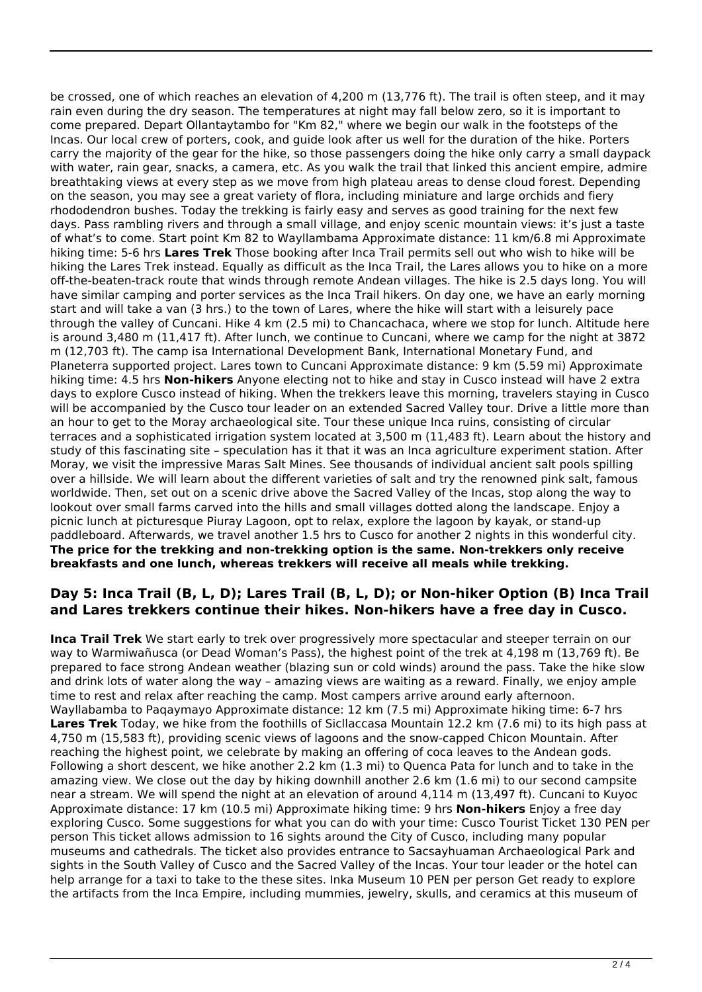be crossed, one of which reaches an elevation of 4,200 m (13,776 ft). The trail is often steep, and it may rain even during the dry season. The temperatures at night may fall below zero, so it is important to come prepared. Depart Ollantaytambo for "Km 82," where we begin our walk in the footsteps of the Incas. Our local crew of porters, cook, and guide look after us well for the duration of the hike. Porters carry the majority of the gear for the hike, so those passengers doing the hike only carry a small daypack with water, rain gear, snacks, a camera, etc. As you walk the trail that linked this ancient empire, admire breathtaking views at every step as we move from high plateau areas to dense cloud forest. Depending on the season, you may see a great variety of flora, including miniature and large orchids and fiery rhododendron bushes. Today the trekking is fairly easy and serves as good training for the next few days. Pass rambling rivers and through a small village, and enjoy scenic mountain views: it's just a taste of what's to come. Start point Km 82 to Wayllambama Approximate distance: 11 km/6.8 mi Approximate hiking time: 5-6 hrs **Lares Trek** Those booking after Inca Trail permits sell out who wish to hike will be hiking the Lares Trek instead. Equally as difficult as the Inca Trail, the Lares allows you to hike on a more off-the-beaten-track route that winds through remote Andean villages. The hike is 2.5 days long. You will have similar camping and porter services as the Inca Trail hikers. On day one, we have an early morning start and will take a van (3 hrs.) to the town of Lares, where the hike will start with a leisurely pace through the valley of Cuncani. Hike 4 km (2.5 mi) to Chancachaca, where we stop for lunch. Altitude here is around 3,480 m (11,417 ft). After lunch, we continue to Cuncani, where we camp for the night at 3872 m (12,703 ft). The camp isa International Development Bank, International Monetary Fund, and Planeterra supported project. Lares town to Cuncani Approximate distance: 9 km (5.59 mi) Approximate hiking time: 4.5 hrs **Non-hikers** Anyone electing not to hike and stay in Cusco instead will have 2 extra days to explore Cusco instead of hiking. When the trekkers leave this morning, travelers staying in Cusco will be accompanied by the Cusco tour leader on an extended Sacred Valley tour. Drive a little more than an hour to get to the Moray archaeological site. Tour these unique Inca ruins, consisting of circular terraces and a sophisticated irrigation system located at 3,500 m (11,483 ft). Learn about the history and study of this fascinating site – speculation has it that it was an Inca agriculture experiment station. After Moray, we visit the impressive Maras Salt Mines. See thousands of individual ancient salt pools spilling over a hillside. We will learn about the different varieties of salt and try the renowned pink salt, famous worldwide. Then, set out on a scenic drive above the Sacred Valley of the Incas, stop along the way to lookout over small farms carved into the hills and small villages dotted along the landscape. Enjoy a picnic lunch at picturesque Piuray Lagoon, opt to relax, explore the lagoon by kayak, or stand-up paddleboard. Afterwards, we travel another 1.5 hrs to Cusco for another 2 nights in this wonderful city. **The price for the trekking and non-trekking option is the same. Non-trekkers only receive breakfasts and one lunch, whereas trekkers will receive all meals while trekking.**

## **Day 5: Inca Trail (B, L, D); Lares Trail (B, L, D); or Non-hiker Option (B) Inca Trail and Lares trekkers continue their hikes. Non-hikers have a free day in Cusco.**

**Inca Trail Trek** We start early to trek over progressively more spectacular and steeper terrain on our way to Warmiwañusca (or Dead Woman's Pass), the highest point of the trek at 4,198 m (13,769 ft). Be prepared to face strong Andean weather (blazing sun or cold winds) around the pass. Take the hike slow and drink lots of water along the way – amazing views are waiting as a reward. Finally, we enjoy ample time to rest and relax after reaching the camp. Most campers arrive around early afternoon. Wayllabamba to Paqaymayo Approximate distance: 12 km (7.5 mi) Approximate hiking time: 6-7 hrs **Lares Trek** Today, we hike from the foothills of Sicllaccasa Mountain 12.2 km (7.6 mi) to its high pass at 4,750 m (15,583 ft), providing scenic views of lagoons and the snow-capped Chicon Mountain. After reaching the highest point, we celebrate by making an offering of coca leaves to the Andean gods. Following a short descent, we hike another 2.2 km (1.3 mi) to Quenca Pata for lunch and to take in the amazing view. We close out the day by hiking downhill another 2.6 km (1.6 mi) to our second campsite near a stream. We will spend the night at an elevation of around 4,114 m (13,497 ft). Cuncani to Kuyoc Approximate distance: 17 km (10.5 mi) Approximate hiking time: 9 hrs **Non-hikers** Enjoy a free day exploring Cusco. Some suggestions for what you can do with your time: Cusco Tourist Ticket 130 PEN per person This ticket allows admission to 16 sights around the City of Cusco, including many popular museums and cathedrals. The ticket also provides entrance to Sacsayhuaman Archaeological Park and sights in the South Valley of Cusco and the Sacred Valley of the Incas. Your tour leader or the hotel can help arrange for a taxi to take to the these sites. Inka Museum 10 PEN per person Get ready to explore the artifacts from the Inca Empire, including mummies, jewelry, skulls, and ceramics at this museum of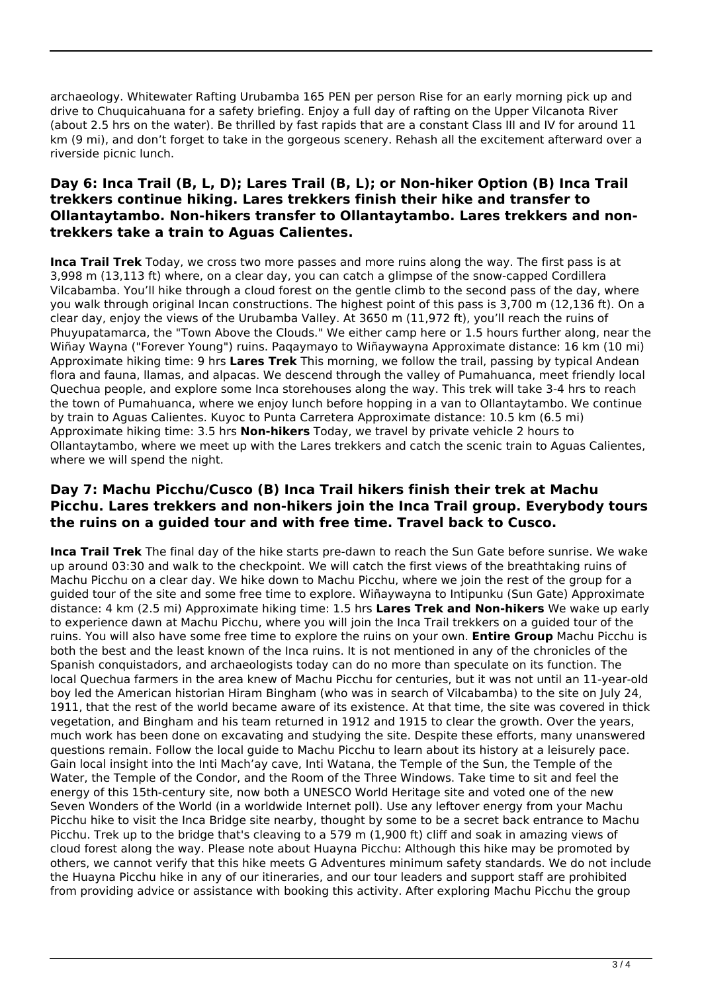archaeology. Whitewater Rafting Urubamba 165 PEN per person Rise for an early morning pick up and drive to Chuquicahuana for a safety briefing. Enjoy a full day of rafting on the Upper Vilcanota River (about 2.5 hrs on the water). Be thrilled by fast rapids that are a constant Class III and IV for around 11 km (9 mi), and don't forget to take in the gorgeous scenery. Rehash all the excitement afterward over a riverside picnic lunch.

## **Day 6: Inca Trail (B, L, D); Lares Trail (B, L); or Non-hiker Option (B) Inca Trail trekkers continue hiking. Lares trekkers finish their hike and transfer to Ollantaytambo. Non-hikers transfer to Ollantaytambo. Lares trekkers and nontrekkers take a train to Aguas Calientes.**

**Inca Trail Trek** Today, we cross two more passes and more ruins along the way. The first pass is at 3,998 m (13,113 ft) where, on a clear day, you can catch a glimpse of the snow-capped Cordillera Vilcabamba. You'll hike through a cloud forest on the gentle climb to the second pass of the day, where you walk through original Incan constructions. The highest point of this pass is 3,700 m (12,136 ft). On a clear day, enjoy the views of the Urubamba Valley. At 3650 m (11,972 ft), you'll reach the ruins of Phuyupatamarca, the "Town Above the Clouds." We either camp here or 1.5 hours further along, near the Wiñay Wayna ("Forever Young") ruins. Paqaymayo to Wiñaywayna Approximate distance: 16 km (10 mi) Approximate hiking time: 9 hrs **Lares Trek** This morning, we follow the trail, passing by typical Andean flora and fauna, llamas, and alpacas. We descend through the valley of Pumahuanca, meet friendly local Quechua people, and explore some Inca storehouses along the way. This trek will take 3-4 hrs to reach the town of Pumahuanca, where we enjoy lunch before hopping in a van to Ollantaytambo. We continue by train to Aguas Calientes. Kuyoc to Punta Carretera Approximate distance: 10.5 km (6.5 mi) Approximate hiking time: 3.5 hrs **Non-hikers** Today, we travel by private vehicle 2 hours to Ollantaytambo, where we meet up with the Lares trekkers and catch the scenic train to Aguas Calientes, where we will spend the night.

### **Day 7: Machu Picchu/Cusco (B) Inca Trail hikers finish their trek at Machu Picchu. Lares trekkers and non-hikers join the Inca Trail group. Everybody tours the ruins on a guided tour and with free time. Travel back to Cusco.**

**Inca Trail Trek** The final day of the hike starts pre-dawn to reach the Sun Gate before sunrise. We wake up around 03:30 and walk to the checkpoint. We will catch the first views of the breathtaking ruins of Machu Picchu on a clear day. We hike down to Machu Picchu, where we join the rest of the group for a guided tour of the site and some free time to explore. Wiñaywayna to Intipunku (Sun Gate) Approximate distance: 4 km (2.5 mi) Approximate hiking time: 1.5 hrs **Lares Trek and Non-hikers** We wake up early to experience dawn at Machu Picchu, where you will join the Inca Trail trekkers on a guided tour of the ruins. You will also have some free time to explore the ruins on your own. **Entire Group** Machu Picchu is both the best and the least known of the Inca ruins. It is not mentioned in any of the chronicles of the Spanish conquistadors, and archaeologists today can do no more than speculate on its function. The local Quechua farmers in the area knew of Machu Picchu for centuries, but it was not until an 11-year-old boy led the American historian Hiram Bingham (who was in search of Vilcabamba) to the site on July 24, 1911, that the rest of the world became aware of its existence. At that time, the site was covered in thick vegetation, and Bingham and his team returned in 1912 and 1915 to clear the growth. Over the years, much work has been done on excavating and studying the site. Despite these efforts, many unanswered questions remain. Follow the local guide to Machu Picchu to learn about its history at a leisurely pace. Gain local insight into the Inti Mach'ay cave, Inti Watana, the Temple of the Sun, the Temple of the Water, the Temple of the Condor, and the Room of the Three Windows. Take time to sit and feel the energy of this 15th-century site, now both a UNESCO World Heritage site and voted one of the new Seven Wonders of the World (in a worldwide Internet poll). Use any leftover energy from your Machu Picchu hike to visit the Inca Bridge site nearby, thought by some to be a secret back entrance to Machu Picchu. Trek up to the bridge that's cleaving to a 579 m (1,900 ft) cliff and soak in amazing views of cloud forest along the way. Please note about Huayna Picchu: Although this hike may be promoted by others, we cannot verify that this hike meets G Adventures minimum safety standards. We do not include the Huayna Picchu hike in any of our itineraries, and our tour leaders and support staff are prohibited from providing advice or assistance with booking this activity. After exploring Machu Picchu the group